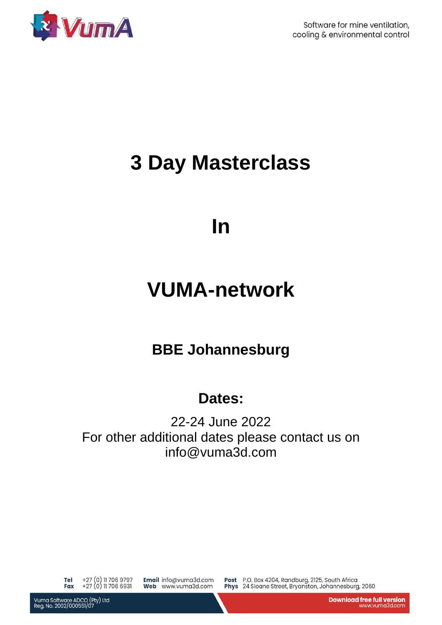

Software for mine ventilation, cooling & environmental control

# **3 Day Masterclass**

### **In**

### **VUMA-network**

### **BBE Johannesburg**

### **Dates:**

22-24 June 2022 For other additional dates please contact us on info@vuma3d.com

Tel +27 (0) 11 706 9797<br>Fax +27 (0) 11 706 6931

Email info@vuma3d.com Web www.vuma3d.com

Post P.O. Box 4204, Randburg, 2125, South Africa<br>Phys 24 Sloane Street, Bryanston, Johannesburg, 2060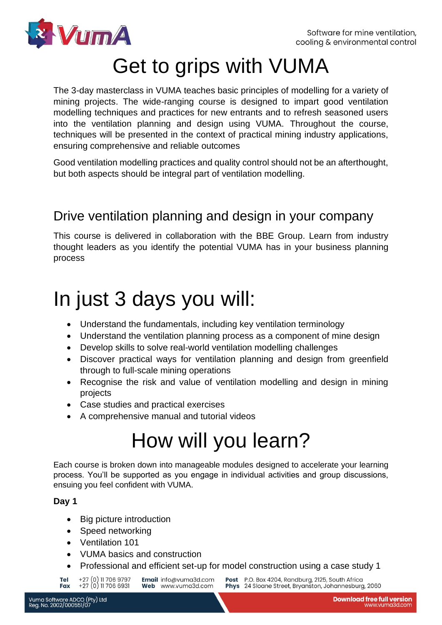

# Get to grips with VUMA

The 3-day masterclass in VUMA teaches basic principles of modelling for a variety of mining projects. The wide-ranging course is designed to impart good ventilation modelling techniques and practices for new entrants and to refresh seasoned users into the ventilation planning and design using VUMA. Throughout the course, techniques will be presented in the context of practical mining industry applications, ensuring comprehensive and reliable outcomes

Good ventilation modelling practices and quality control should not be an afterthought, but both aspects should be integral part of ventilation modelling.

#### Drive ventilation planning and design in your company

This course is delivered in collaboration with the BBE Group. Learn from industry thought leaders as you identify the potential VUMA has in your business planning process

## In just 3 days you will:

- Understand the fundamentals, including key ventilation terminology
- Understand the ventilation planning process as a component of mine design
- Develop skills to solve real-world ventilation modelling challenges
- Discover practical ways for ventilation planning and design from greenfield through to full-scale mining operations
- Recognise the risk and value of ventilation modelling and design in mining projects
- Case studies and practical exercises
- A comprehensive manual and tutorial videos

# How will you learn?

Each course is broken down into manageable modules designed to accelerate your learning process. You'll be supported as you engage in individual activities and group discussions, ensuing you feel confident with VUMA.

#### **Day 1**

- Big picture introduction
- Speed networking
- Ventilation 101
- VUMA basics and construction
- Professional and efficient set-up for model construction using a case study 1

+27 (0) 11 706 9797<br>+27 (0) 11 706 6931 Email info@vuma3d.com Tel Fax Web www.vuma3d.com

Post P.O. Box 4204, Randburg, 2125, South Africa Phys 24 Sloane Street, Bryanston, Johannesburg, 2060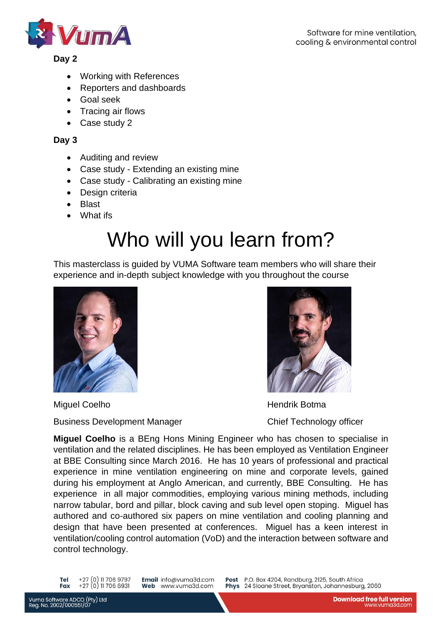

#### **Day 2**

- Working with References
- Reporters and dashboards
- Goal seek
- Tracing air flows
- Case study 2

#### **Day 3**

- Auditing and review
- Case study Extending an existing mine
- Case study Calibrating an existing mine
- Design criteria
- Blast
- What ifs

# Who will you learn from?

This masterclass is guided by VUMA Software team members who will share their experience and in-depth subject knowledge with you throughout the course



Miguel Coelho **Hendrik Botma** 



Business Development Manager Chief Technology officer

**Miguel Coelho** is a BEng Hons Mining Engineer who has chosen to specialise in ventilation and the related disciplines. He has been employed as Ventilation Engineer at BBE Consulting since March 2016. He has 10 years of professional and practical experience in mine ventilation engineering on mine and corporate levels, gained during his employment at Anglo American, and currently, BBE Consulting. He has experience in all major commodities, employing various mining methods, including narrow tabular, bord and pillar, block caving and sub level open stoping. Miguel has authored and co-authored six papers on mine ventilation and cooling planning and design that have been presented at conferences. Miguel has a keen interest in ventilation/cooling control automation (VoD) and the interaction between software and control technology.

+27 (0) 11 706 9797<br>+27 (0) 11 706 6931 Tel **Fax** 

Email info@vuma3d.com Web www.vuma3d.com

Post P.O. Box 4204, Randburg, 2125, South Africa<br>Phys 24 Sloane Street, Bryanston, Johannesburg, 2060